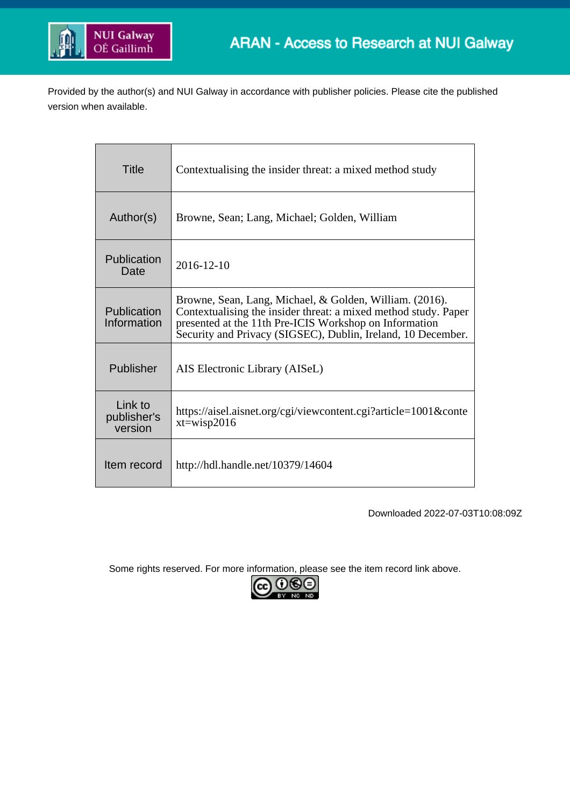

Provided by the author(s) and NUI Galway in accordance with publisher policies. Please cite the published version when available.

| Title                             | Contextualising the insider threat: a mixed method study                                                                                                                                                                                             |
|-----------------------------------|------------------------------------------------------------------------------------------------------------------------------------------------------------------------------------------------------------------------------------------------------|
| Author(s)                         | Browne, Sean; Lang, Michael; Golden, William                                                                                                                                                                                                         |
| Publication<br>Date               | 2016-12-10                                                                                                                                                                                                                                           |
| Publication<br>Information        | Browne, Sean, Lang, Michael, & Golden, William. (2016).<br>Contextualising the insider threat: a mixed method study. Paper<br>presented at the 11th Pre-ICIS Workshop on Information<br>Security and Privacy (SIGSEC), Dublin, Ireland, 10 December. |
| Publisher                         | AIS Electronic Library (AISeL)                                                                                                                                                                                                                       |
| Link to<br>publisher's<br>version | https://aisel.aisnet.org/cgi/viewcontent.cgi?article=1001&conte<br>$xt = wisp2016$                                                                                                                                                                   |
| Item record                       | http://hdl.handle.net/10379/14604                                                                                                                                                                                                                    |

Downloaded 2022-07-03T10:08:09Z

Some rights reserved. For more information, please see the item record link above.

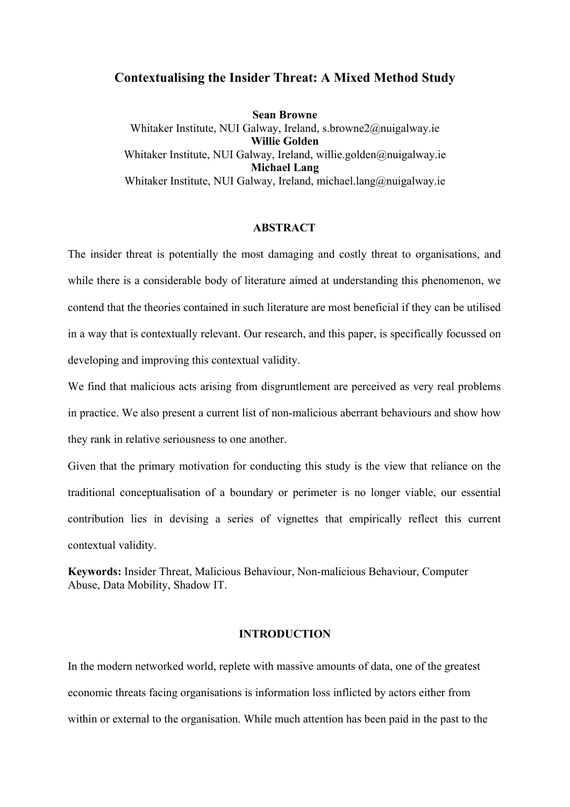# **Contextualising the Insider Threat: A Mixed Method Study**

**Sean Browne** Whitaker Institute, NUI Galway, Ireland, s.browne2@nuigalway.ie **Willie Golden** Whitaker Institute, NUI Galway, Ireland, willie.golden@nuigalway.ie **Michael Lang** Whitaker Institute, NUI Galway, Ireland, michael.lang@nuigalway.ie

## **ABSTRACT**

The insider threat is potentially the most damaging and costly threat to organisations, and while there is a considerable body of literature aimed at understanding this phenomenon, we contend that the theories contained in such literature are most beneficial if they can be utilised in a way that is contextually relevant. Our research, and this paper, is specifically focussed on developing and improving this contextual validity.

We find that malicious acts arising from disgruntlement are perceived as very real problems in practice. We also present a current list of non-malicious aberrant behaviours and show how they rank in relative seriousness to one another.

Given that the primary motivation for conducting this study is the view that reliance on the traditional conceptualisation of a boundary or perimeter is no longer viable, our essential contribution lies in devising a series of vignettes that empirically reflect this current contextual validity.

**Keywords:** Insider Threat, Malicious Behaviour, Non-malicious Behaviour, Computer Abuse, Data Mobility, Shadow IT.

## **INTRODUCTION**

In the modern networked world, replete with massive amounts of data, one of the greatest economic threats facing organisations is information loss inflicted by actors either from within or external to the organisation. While much attention has been paid in the past to the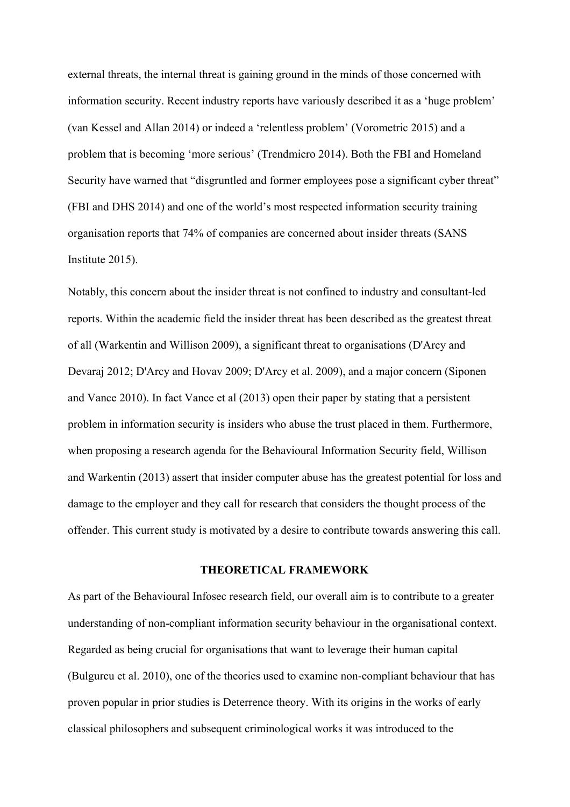external threats, the internal threat is gaining ground in the minds of those concerned with information security. Recent industry reports have variously described it as a 'huge problem' (van Kessel and Allan 2014) or indeed a 'relentless problem' (Vorometric 2015) and a problem that is becoming 'more serious' (Trendmicro 2014). Both the FBI and Homeland Security have warned that "disgruntled and former employees pose a significant cyber threat" (FBI and DHS 2014) and one of the world's most respected information security training organisation reports that 74% of companies are concerned about insider threats (SANS Institute 2015).

Notably, this concern about the insider threat is not confined to industry and consultant-led reports. Within the academic field the insider threat has been described as the greatest threat of all (Warkentin and Willison 2009), a significant threat to organisations (D'Arcy and Devaraj 2012; D'Arcy and Hovav 2009; D'Arcy et al. 2009), and a major concern (Siponen and Vance 2010). In fact Vance et al (2013) open their paper by stating that a persistent problem in information security is insiders who abuse the trust placed in them. Furthermore, when proposing a research agenda for the Behavioural Information Security field, Willison and Warkentin (2013) assert that insider computer abuse has the greatest potential for loss and damage to the employer and they call for research that considers the thought process of the offender. This current study is motivated by a desire to contribute towards answering this call.

### **THEORETICAL FRAMEWORK**

As part of the Behavioural Infosec research field, our overall aim is to contribute to a greater understanding of non-compliant information security behaviour in the organisational context. Regarded as being crucial for organisations that want to leverage their human capital (Bulgurcu et al. 2010), one of the theories used to examine non-compliant behaviour that has proven popular in prior studies is Deterrence theory. With its origins in the works of early classical philosophers and subsequent criminological works it was introduced to the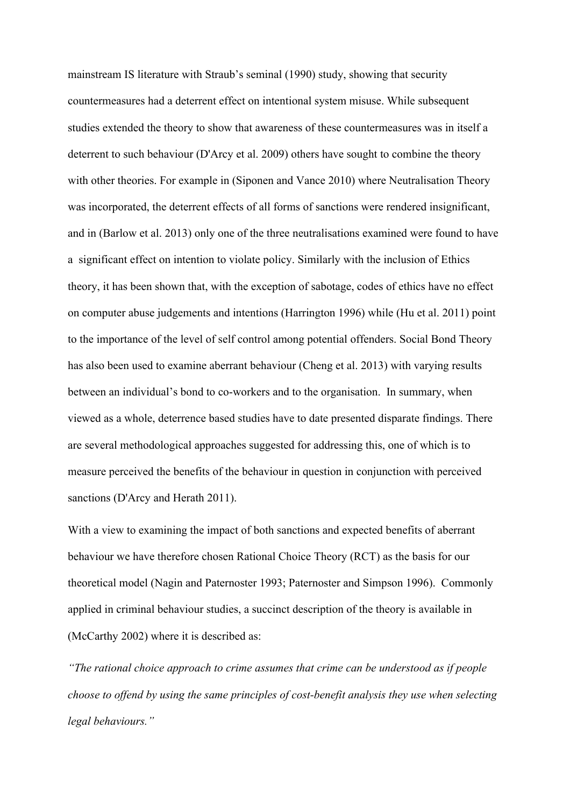mainstream IS literature with Straub's seminal (1990) study, showing that security countermeasures had a deterrent effect on intentional system misuse. While subsequent studies extended the theory to show that awareness of these countermeasures was in itself a deterrent to such behaviour (D'Arcy et al. 2009) others have sought to combine the theory with other theories. For example in (Siponen and Vance 2010) where Neutralisation Theory was incorporated, the deterrent effects of all forms of sanctions were rendered insignificant, and in (Barlow et al. 2013) only one of the three neutralisations examined were found to have a significant effect on intention to violate policy. Similarly with the inclusion of Ethics theory, it has been shown that, with the exception of sabotage, codes of ethics have no effect on computer abuse judgements and intentions (Harrington 1996) while (Hu et al. 2011) point to the importance of the level of self control among potential offenders. Social Bond Theory has also been used to examine aberrant behaviour (Cheng et al. 2013) with varying results between an individual's bond to co-workers and to the organisation. In summary, when viewed as a whole, deterrence based studies have to date presented disparate findings. There are several methodological approaches suggested for addressing this, one of which is to measure perceived the benefits of the behaviour in question in conjunction with perceived sanctions (D'Arcy and Herath 2011).

With a view to examining the impact of both sanctions and expected benefits of aberrant behaviour we have therefore chosen Rational Choice Theory (RCT) as the basis for our theoretical model (Nagin and Paternoster 1993; Paternoster and Simpson 1996). Commonly applied in criminal behaviour studies, a succinct description of the theory is available in (McCarthy 2002) where it is described as:

*"The rational choice approach to crime assumes that crime can be understood as if people choose to offend by using the same principles of cost-benefit analysis they use when selecting legal behaviours."*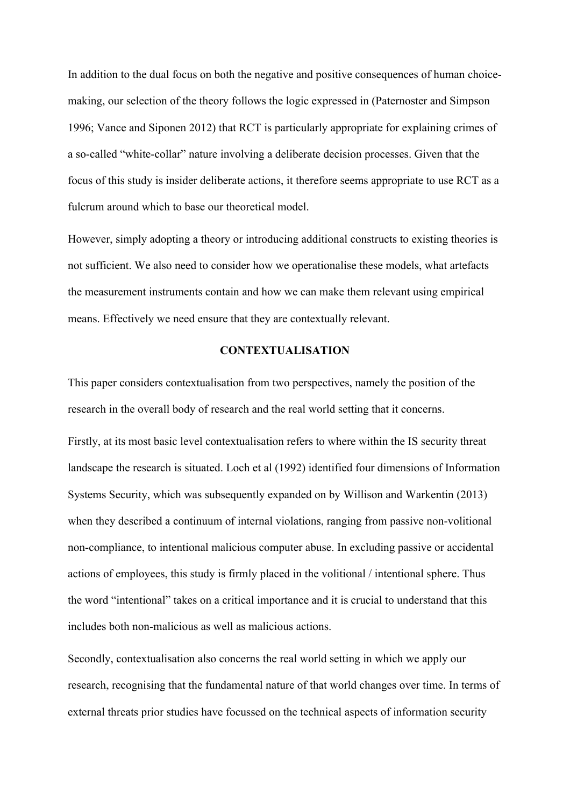In addition to the dual focus on both the negative and positive consequences of human choicemaking, our selection of the theory follows the logic expressed in (Paternoster and Simpson 1996; Vance and Siponen 2012) that RCT is particularly appropriate for explaining crimes of a so-called "white-collar" nature involving a deliberate decision processes. Given that the focus of this study is insider deliberate actions, it therefore seems appropriate to use RCT as a fulcrum around which to base our theoretical model.

However, simply adopting a theory or introducing additional constructs to existing theories is not sufficient. We also need to consider how we operationalise these models, what artefacts the measurement instruments contain and how we can make them relevant using empirical means. Effectively we need ensure that they are contextually relevant.

### **CONTEXTUALISATION**

This paper considers contextualisation from two perspectives, namely the position of the research in the overall body of research and the real world setting that it concerns.

Firstly, at its most basic level contextualisation refers to where within the IS security threat landscape the research is situated. Loch et al (1992) identified four dimensions of Information Systems Security, which was subsequently expanded on by Willison and Warkentin (2013) when they described a continuum of internal violations, ranging from passive non-volitional non-compliance, to intentional malicious computer abuse. In excluding passive or accidental actions of employees, this study is firmly placed in the volitional / intentional sphere. Thus the word "intentional" takes on a critical importance and it is crucial to understand that this includes both non-malicious as well as malicious actions.

Secondly, contextualisation also concerns the real world setting in which we apply our research, recognising that the fundamental nature of that world changes over time. In terms of external threats prior studies have focussed on the technical aspects of information security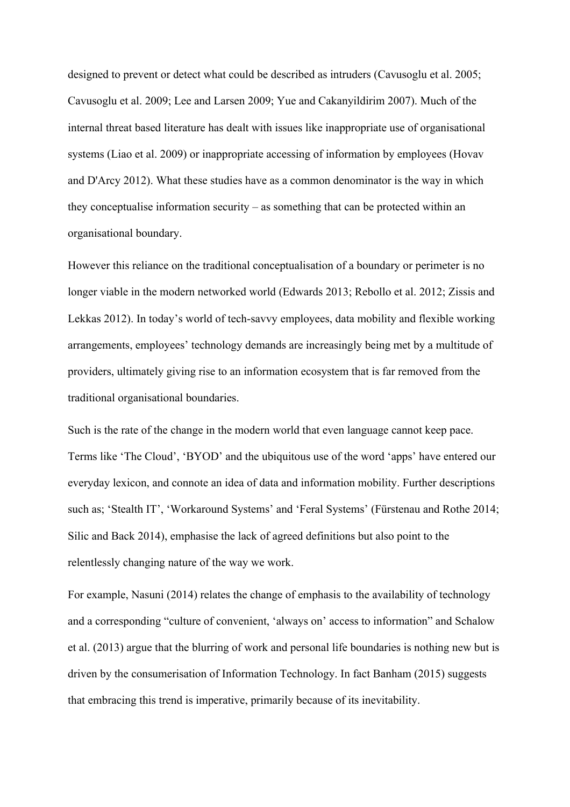designed to prevent or detect what could be described as intruders (Cavusoglu et al. 2005; Cavusoglu et al. 2009; Lee and Larsen 2009; Yue and Cakanyildirim 2007). Much of the internal threat based literature has dealt with issues like inappropriate use of organisational systems (Liao et al. 2009) or inappropriate accessing of information by employees (Hovav and D'Arcy 2012). What these studies have as a common denominator is the way in which they conceptualise information security – as something that can be protected within an organisational boundary.

However this reliance on the traditional conceptualisation of a boundary or perimeter is no longer viable in the modern networked world (Edwards 2013; Rebollo et al. 2012; Zissis and Lekkas 2012). In today's world of tech-savvy employees, data mobility and flexible working arrangements, employees' technology demands are increasingly being met by a multitude of providers, ultimately giving rise to an information ecosystem that is far removed from the traditional organisational boundaries.

Such is the rate of the change in the modern world that even language cannot keep pace. Terms like 'The Cloud', 'BYOD' and the ubiquitous use of the word 'apps' have entered our everyday lexicon, and connote an idea of data and information mobility. Further descriptions such as; 'Stealth IT', 'Workaround Systems' and 'Feral Systems' (Fürstenau and Rothe 2014; Silic and Back 2014), emphasise the lack of agreed definitions but also point to the relentlessly changing nature of the way we work.

For example, Nasuni (2014) relates the change of emphasis to the availability of technology and a corresponding "culture of convenient, 'always on' access to information" and Schalow et al. (2013) argue that the blurring of work and personal life boundaries is nothing new but is driven by the consumerisation of Information Technology. In fact Banham (2015) suggests that embracing this trend is imperative, primarily because of its inevitability.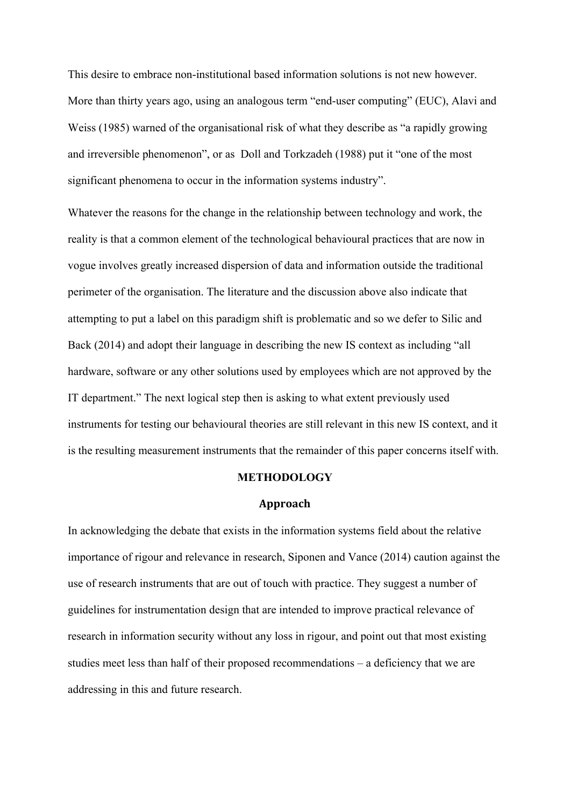This desire to embrace non-institutional based information solutions is not new however. More than thirty years ago, using an analogous term "end-user computing" (EUC), Alavi and Weiss (1985) warned of the organisational risk of what they describe as "a rapidly growing and irreversible phenomenon", or as Doll and Torkzadeh (1988) put it "one of the most significant phenomena to occur in the information systems industry".

Whatever the reasons for the change in the relationship between technology and work, the reality is that a common element of the technological behavioural practices that are now in vogue involves greatly increased dispersion of data and information outside the traditional perimeter of the organisation. The literature and the discussion above also indicate that attempting to put a label on this paradigm shift is problematic and so we defer to Silic and Back (2014) and adopt their language in describing the new IS context as including "all hardware, software or any other solutions used by employees which are not approved by the IT department." The next logical step then is asking to what extent previously used instruments for testing our behavioural theories are still relevant in this new IS context, and it is the resulting measurement instruments that the remainder of this paper concerns itself with.

# **METHODOLOGY**

## **Approach**

In acknowledging the debate that exists in the information systems field about the relative importance of rigour and relevance in research, Siponen and Vance (2014) caution against the use of research instruments that are out of touch with practice. They suggest a number of guidelines for instrumentation design that are intended to improve practical relevance of research in information security without any loss in rigour, and point out that most existing studies meet less than half of their proposed recommendations – a deficiency that we are addressing in this and future research.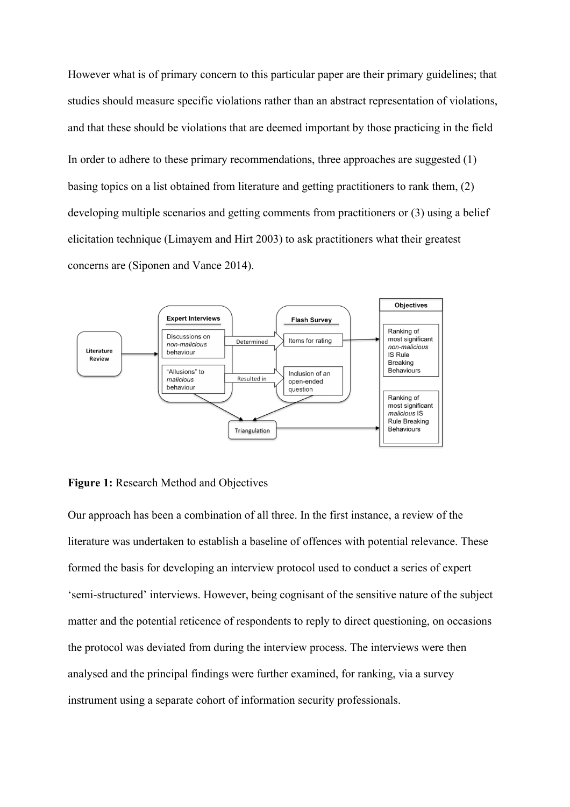However what is of primary concern to this particular paper are their primary guidelines; that studies should measure specific violations rather than an abstract representation of violations, and that these should be violations that are deemed important by those practicing in the field In order to adhere to these primary recommendations, three approaches are suggested (1) basing topics on a list obtained from literature and getting practitioners to rank them, (2) developing multiple scenarios and getting comments from practitioners or (3) using a belief elicitation technique (Limayem and Hirt 2003) to ask practitioners what their greatest concerns are (Siponen and Vance 2014).



## **Figure 1:** Research Method and Objectives

Our approach has been a combination of all three. In the first instance, a review of the literature was undertaken to establish a baseline of offences with potential relevance. These formed the basis for developing an interview protocol used to conduct a series of expert 'semi-structured' interviews. However, being cognisant of the sensitive nature of the subject matter and the potential reticence of respondents to reply to direct questioning, on occasions the protocol was deviated from during the interview process. The interviews were then analysed and the principal findings were further examined, for ranking, via a survey instrument using a separate cohort of information security professionals.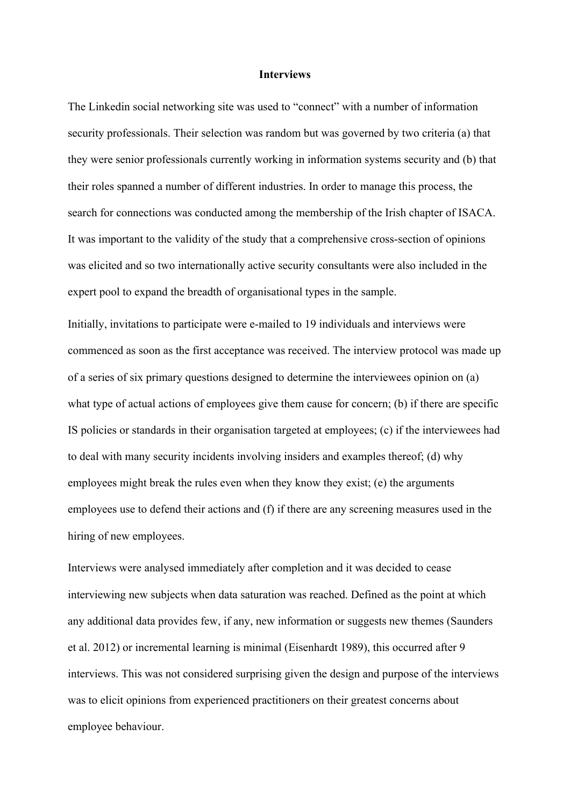### **Interviews**

The Linkedin social networking site was used to "connect" with a number of information security professionals. Their selection was random but was governed by two criteria (a) that they were senior professionals currently working in information systems security and (b) that their roles spanned a number of different industries. In order to manage this process, the search for connections was conducted among the membership of the Irish chapter of ISACA. It was important to the validity of the study that a comprehensive cross-section of opinions was elicited and so two internationally active security consultants were also included in the expert pool to expand the breadth of organisational types in the sample.

Initially, invitations to participate were e-mailed to 19 individuals and interviews were commenced as soon as the first acceptance was received. The interview protocol was made up of a series of six primary questions designed to determine the interviewees opinion on (a) what type of actual actions of employees give them cause for concern; (b) if there are specific IS policies or standards in their organisation targeted at employees; (c) if the interviewees had to deal with many security incidents involving insiders and examples thereof; (d) why employees might break the rules even when they know they exist; (e) the arguments employees use to defend their actions and (f) if there are any screening measures used in the hiring of new employees.

Interviews were analysed immediately after completion and it was decided to cease interviewing new subjects when data saturation was reached. Defined as the point at which any additional data provides few, if any, new information or suggests new themes (Saunders et al. 2012) or incremental learning is minimal (Eisenhardt 1989), this occurred after 9 interviews. This was not considered surprising given the design and purpose of the interviews was to elicit opinions from experienced practitioners on their greatest concerns about employee behaviour.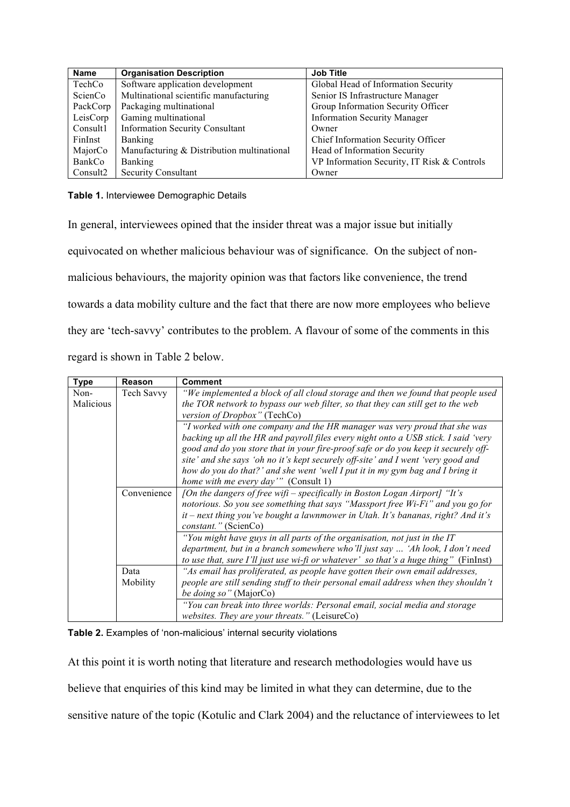| <b>Name</b> | <b>Organisation Description</b>            | <b>Job Title</b>                            |
|-------------|--------------------------------------------|---------------------------------------------|
| TechCo      | Software application development           | Global Head of Information Security         |
| ScienCo     | Multinational scientific manufacturing     | Senior IS Infrastructure Manager            |
| PackCorp    | Packaging multinational                    | Group Information Security Officer          |
| LeisCorp    | Gaming multinational                       | <b>Information Security Manager</b>         |
| Consult1    | <b>Information Security Consultant</b>     | Owner                                       |
| FinInst     | <b>Banking</b>                             | Chief Information Security Officer          |
| MajorCo     | Manufacturing & Distribution multinational | Head of Information Security                |
| BankCo      | <b>Banking</b>                             | VP Information Security, IT Risk & Controls |
| Consult2    | <b>Security Consultant</b>                 | Owner                                       |

## **Table 1.** Interviewee Demographic Details

In general, interviewees opined that the insider threat was a major issue but initially equivocated on whether malicious behaviour was of significance. On the subject of nonmalicious behaviours, the majority opinion was that factors like convenience, the trend towards a data mobility culture and the fact that there are now more employees who believe they are 'tech-savvy' contributes to the problem. A flavour of some of the comments in this regard is shown in Table 2 below.

| <b>Type</b>       | <b>Reason</b> | <b>Comment</b>                                                                                                                                                     |  |  |  |
|-------------------|---------------|--------------------------------------------------------------------------------------------------------------------------------------------------------------------|--|--|--|
| Non-<br>Malicious | Tech Savvy    | "We implemented a block of all cloud storage and then we found that people used<br>the TOR network to bypass our web filter, so that they can still get to the web |  |  |  |
|                   |               | version of Dropbox" (TechCo)                                                                                                                                       |  |  |  |
|                   |               | "I worked with one company and the HR manager was very proud that she was                                                                                          |  |  |  |
|                   |               | backing up all the HR and payroll files every night onto a USB stick. I said 'very                                                                                 |  |  |  |
|                   |               | good and do you store that in your fire-proof safe or do you keep it securely off-                                                                                 |  |  |  |
|                   |               | site' and she says 'oh no it's kept securely off-site' and I went 'very good and                                                                                   |  |  |  |
|                   |               | how do you do that?' and she went 'well I put it in my gym bag and I bring it<br>home with me every day'" (Consult 1)                                              |  |  |  |
|                   | Convenience   | [On the dangers of free wift – specifically in Boston Logan Airport] "It's                                                                                         |  |  |  |
|                   |               | notorious. So you see something that says "Massport free Wi-Fi" and you go for                                                                                     |  |  |  |
|                   |               | it – next thing you've bought a lawnmower in Utah. It's bananas, right? And it's                                                                                   |  |  |  |
|                   |               | <i>constant.</i> " (ScienCo)                                                                                                                                       |  |  |  |
|                   |               | "You might have guys in all parts of the organisation, not just in the IT                                                                                          |  |  |  |
|                   |               | department, but in a branch somewhere who'll just say  'Ah look, I don't need                                                                                      |  |  |  |
|                   |               | to use that, sure I'll just use wi-fi or whatever' so that's a huge thing" (FinInst)                                                                               |  |  |  |
|                   | Data          | "As email has proliferated, as people have gotten their own email addresses,                                                                                       |  |  |  |
|                   | Mobility      | people are still sending stuff to their personal email address when they shouldn't                                                                                 |  |  |  |
|                   |               | be doing so" (MajorCo)                                                                                                                                             |  |  |  |
|                   |               | "You can break into three worlds: Personal email, social media and storage                                                                                         |  |  |  |
|                   |               | <i>websites. They are your threats.</i> " (LeisureCo)                                                                                                              |  |  |  |

**Table 2.** Examples of 'non-malicious' internal security violations

At this point it is worth noting that literature and research methodologies would have us believe that enquiries of this kind may be limited in what they can determine, due to the sensitive nature of the topic (Kotulic and Clark 2004) and the reluctance of interviewees to let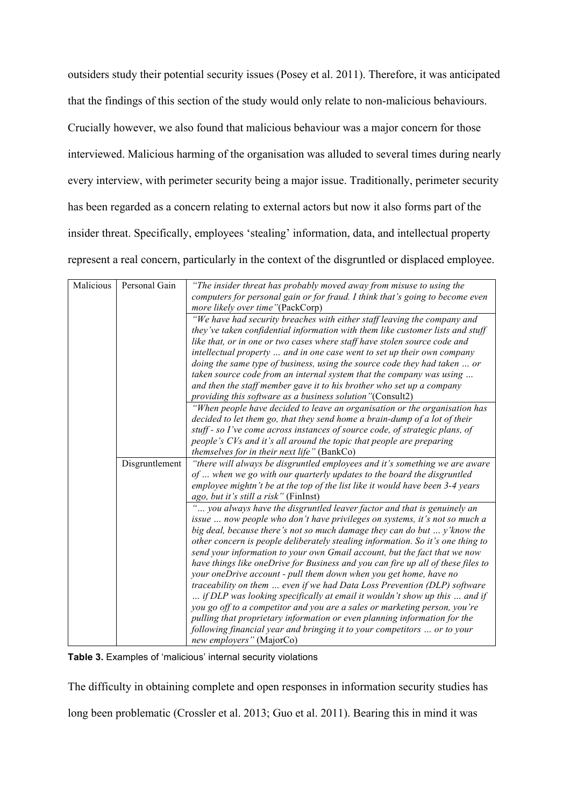outsiders study their potential security issues (Posey et al. 2011). Therefore, it was anticipated that the findings of this section of the study would only relate to non-malicious behaviours. Crucially however, we also found that malicious behaviour was a major concern for those interviewed. Malicious harming of the organisation was alluded to several times during nearly every interview, with perimeter security being a major issue. Traditionally, perimeter security has been regarded as a concern relating to external actors but now it also forms part of the insider threat. Specifically, employees 'stealing' information, data, and intellectual property represent a real concern, particularly in the context of the disgruntled or displaced employee.

| Malicious | Personal Gain  | "The insider threat has probably moved away from misuse to using the             |
|-----------|----------------|----------------------------------------------------------------------------------|
|           |                | computers for personal gain or for fraud. I think that's going to become even    |
|           |                | more likely over time"(PackCorp)                                                 |
|           |                | "We have had security breaches with either staff leaving the company and         |
|           |                | they've taken confidential information with them like customer lists and stuff   |
|           |                | like that, or in one or two cases where staff have stolen source code and        |
|           |                | intellectual property  and in one case went to set up their own company          |
|           |                | doing the same type of business, using the source code they had taken  or        |
|           |                | taken source code from an internal system that the company was using             |
|           |                | and then the staff member gave it to his brother who set up a company            |
|           |                | providing this software as a business solution"(Consult2)                        |
|           |                | "When people have decided to leave an organisation or the organisation has       |
|           |                | decided to let them go, that they send home a brain-dump of a lot of their       |
|           |                | stuff - so I've come across instances of source code, of strategic plans, of     |
|           |                | people's CVs and it's all around the topic that people are preparing             |
|           |                | <i>themselves for in their next life</i> " (BankCo)                              |
|           | Disgruntlement | "there will always be disgruntled employees and it's something we are aware      |
|           |                | of  when we go with our quarterly updates to the board the disgruntled           |
|           |                | employee mightn't be at the top of the list like it would have been 3-4 years    |
|           |                | ago, but it's still a risk" (FinInst)                                            |
|           |                | you always have the disgruntled leaver factor and that is genuinely an           |
|           |                | issue  now people who don't have privileges on systems, it's not so much a       |
|           |                | big deal, because there's not so much damage they can do but  y' know the        |
|           |                | other concern is people deliberately stealing information. So it's one thing to  |
|           |                | send your information to your own Gmail account, but the fact that we now        |
|           |                | have things like oneDrive for Business and you can fire up all of these files to |
|           |                | your oneDrive account - pull them down when you get home, have no                |
|           |                | traceability on them  even if we had Data Loss Prevention (DLP) software         |
|           |                | if DLP was looking specifically at email it wouldn't show up this  and if        |
|           |                | you go off to a competitor and you are a sales or marketing person, you're       |
|           |                | pulling that proprietary information or even planning information for the        |
|           |                | following financial year and bringing it to your competitors  or to your         |
|           |                | new employers" (MajorCo)                                                         |

**Table 3.** Examples of 'malicious' internal security violations

The difficulty in obtaining complete and open responses in information security studies has

long been problematic (Crossler et al. 2013; Guo et al. 2011). Bearing this in mind it was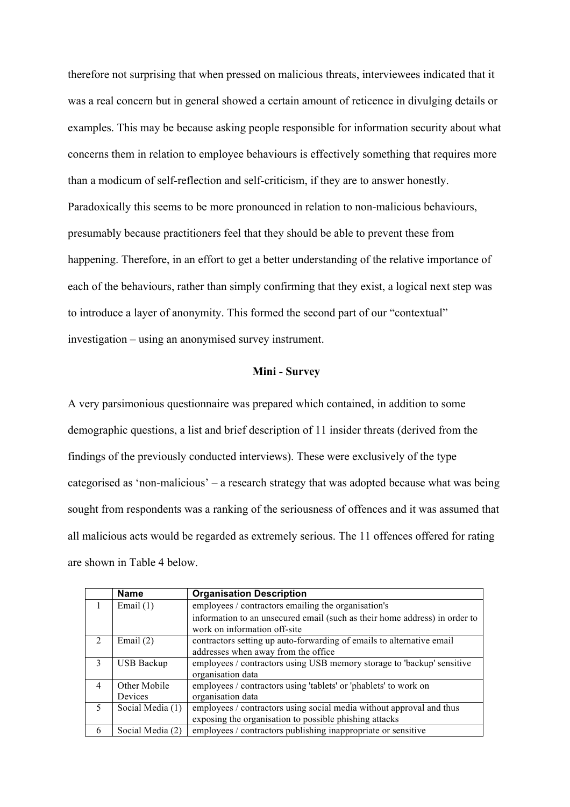therefore not surprising that when pressed on malicious threats, interviewees indicated that it was a real concern but in general showed a certain amount of reticence in divulging details or examples. This may be because asking people responsible for information security about what concerns them in relation to employee behaviours is effectively something that requires more than a modicum of self-reflection and self-criticism, if they are to answer honestly. Paradoxically this seems to be more pronounced in relation to non-malicious behaviours, presumably because practitioners feel that they should be able to prevent these from happening. Therefore, in an effort to get a better understanding of the relative importance of each of the behaviours, rather than simply confirming that they exist, a logical next step was to introduce a layer of anonymity. This formed the second part of our "contextual" investigation – using an anonymised survey instrument.

## **Mini - Survey**

A very parsimonious questionnaire was prepared which contained, in addition to some demographic questions, a list and brief description of 11 insider threats (derived from the findings of the previously conducted interviews). These were exclusively of the type categorised as 'non-malicious' – a research strategy that was adopted because what was being sought from respondents was a ranking of the seriousness of offences and it was assumed that all malicious acts would be regarded as extremely serious. The 11 offences offered for rating are shown in Table 4 below.

|                | <b>Name</b>       | <b>Organisation Description</b>                                            |  |
|----------------|-------------------|----------------------------------------------------------------------------|--|
|                | Email $(1)$       | employees / contractors emailing the organisation's                        |  |
|                |                   | information to an unsecured email (such as their home address) in order to |  |
|                |                   | work on information off-site                                               |  |
| $\mathcal{L}$  | Email $(2)$       | contractors setting up auto-forwarding of emails to alternative email      |  |
|                |                   | addresses when away from the office                                        |  |
| 3              | <b>USB Backup</b> | employees / contractors using USB memory storage to 'backup' sensitive     |  |
|                |                   | organisation data                                                          |  |
| $\overline{4}$ | Other Mobile      | employees / contractors using 'tablets' or 'phablets' to work on           |  |
|                | Devices           | organisation data                                                          |  |
| 5              | Social Media (1)  | employees / contractors using social media without approval and thus       |  |
|                |                   | exposing the organisation to possible phishing attacks                     |  |
| 6              | Social Media (2)  | employees / contractors publishing inappropriate or sensitive              |  |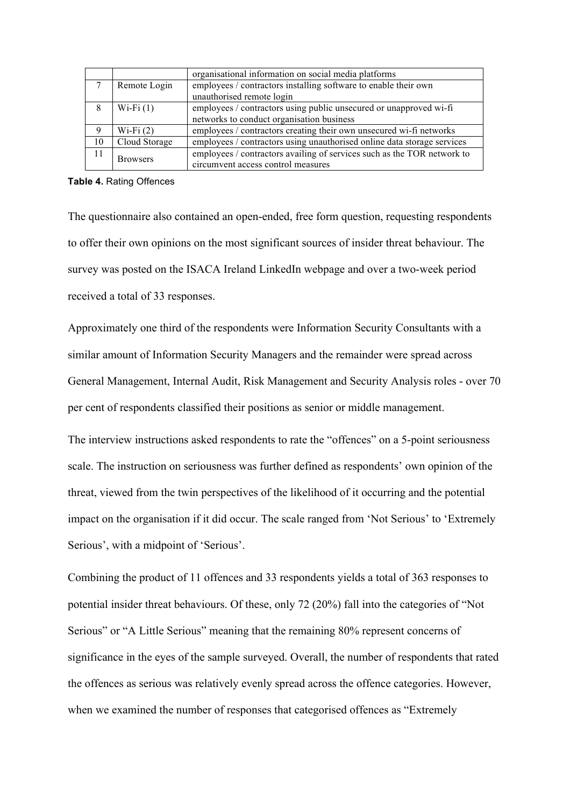|    |                 | organisational information on social media platforms                    |  |
|----|-----------------|-------------------------------------------------------------------------|--|
|    | Remote Login    | employees / contractors installing software to enable their own         |  |
|    |                 | unauthorised remote login                                               |  |
| 8  | Wi-Fi $(1)$     | employees / contractors using public unsecured or unapproved wi-fi      |  |
|    |                 | networks to conduct organisation business                               |  |
| 9  | Wi-Fi $(2)$     | employees / contractors creating their own unsecured wi-fi networks     |  |
| 10 | Cloud Storage   | employees / contractors using unauthorised online data storage services |  |
| 11 | <b>Browsers</b> | employees / contractors availing of services such as the TOR network to |  |
|    |                 | circumvent access control measures                                      |  |

#### **Table 4.** Rating Offences

The questionnaire also contained an open-ended, free form question, requesting respondents to offer their own opinions on the most significant sources of insider threat behaviour. The survey was posted on the ISACA Ireland LinkedIn webpage and over a two-week period received a total of 33 responses.

Approximately one third of the respondents were Information Security Consultants with a similar amount of Information Security Managers and the remainder were spread across General Management, Internal Audit, Risk Management and Security Analysis roles - over 70 per cent of respondents classified their positions as senior or middle management.

The interview instructions asked respondents to rate the "offences" on a 5-point seriousness scale. The instruction on seriousness was further defined as respondents' own opinion of the threat, viewed from the twin perspectives of the likelihood of it occurring and the potential impact on the organisation if it did occur. The scale ranged from 'Not Serious' to 'Extremely Serious', with a midpoint of 'Serious'.

Combining the product of 11 offences and 33 respondents yields a total of 363 responses to potential insider threat behaviours. Of these, only 72 (20%) fall into the categories of "Not Serious" or "A Little Serious" meaning that the remaining 80% represent concerns of significance in the eyes of the sample surveyed. Overall, the number of respondents that rated the offences as serious was relatively evenly spread across the offence categories. However, when we examined the number of responses that categorised offences as "Extremely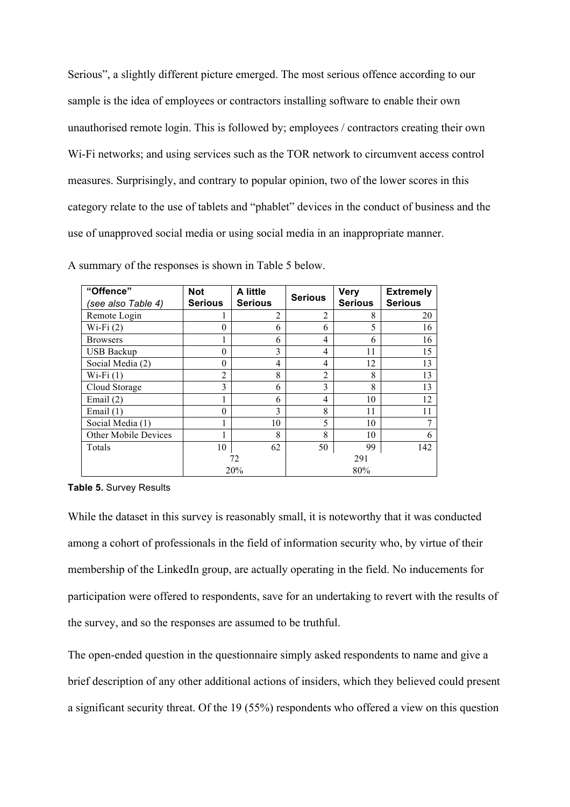Serious", a slightly different picture emerged. The most serious offence according to our sample is the idea of employees or contractors installing software to enable their own unauthorised remote login. This is followed by; employees / contractors creating their own Wi-Fi networks; and using services such as the TOR network to circumvent access control measures. Surprisingly, and contrary to popular opinion, two of the lower scores in this category relate to the use of tablets and "phablet" devices in the conduct of business and the use of unapproved social media or using social media in an inappropriate manner.

| "Offence"<br>(see also Table 4) | <b>Not</b><br><b>Serious</b> | A little<br><b>Serious</b> | <b>Serious</b> | <b>Very</b><br><b>Serious</b> | <b>Extremely</b><br><b>Serious</b> |
|---------------------------------|------------------------------|----------------------------|----------------|-------------------------------|------------------------------------|
| Remote Login                    | 1                            | $\overline{2}$             | $\overline{2}$ | 8                             | 20                                 |
| $Wi-Fi(2)$                      | 0                            | 6                          | 6              | 5                             | 16                                 |
| <b>Browsers</b>                 |                              | 6                          | 4              | 6                             | 16                                 |
| <b>USB Backup</b>               | $\theta$                     | 3                          | 4              | 11                            | 15                                 |
| Social Media (2)                | 0                            | 4                          | 4              | 12                            | 13                                 |
| $Wi-Fi(1)$                      | 2                            | 8                          | $\overline{2}$ | 8                             | 13                                 |
| Cloud Storage                   | 3                            | 6                          | 3              | 8                             | 13                                 |
| Email $(2)$                     |                              | 6                          | 4              | 10                            | 12                                 |
| Email $(1)$                     | 0                            | 3                          | 8              | 11                            | 11                                 |
| Social Media (1)                |                              | 10                         | 5              | 10                            |                                    |
| Other Mobile Devices            |                              | 8                          | 8              | 10                            | 6                                  |
| Totals                          | 10                           | 62                         | 50             | 99                            | 142                                |
|                                 | 72                           |                            | 291            |                               |                                    |
|                                 |                              | 20%                        |                | 80%                           |                                    |

A summary of the responses is shown in Table 5 below.

**Table 5.** Survey Results

While the dataset in this survey is reasonably small, it is noteworthy that it was conducted among a cohort of professionals in the field of information security who, by virtue of their membership of the LinkedIn group, are actually operating in the field. No inducements for participation were offered to respondents, save for an undertaking to revert with the results of the survey, and so the responses are assumed to be truthful.

The open-ended question in the questionnaire simply asked respondents to name and give a brief description of any other additional actions of insiders, which they believed could present a significant security threat. Of the 19 (55%) respondents who offered a view on this question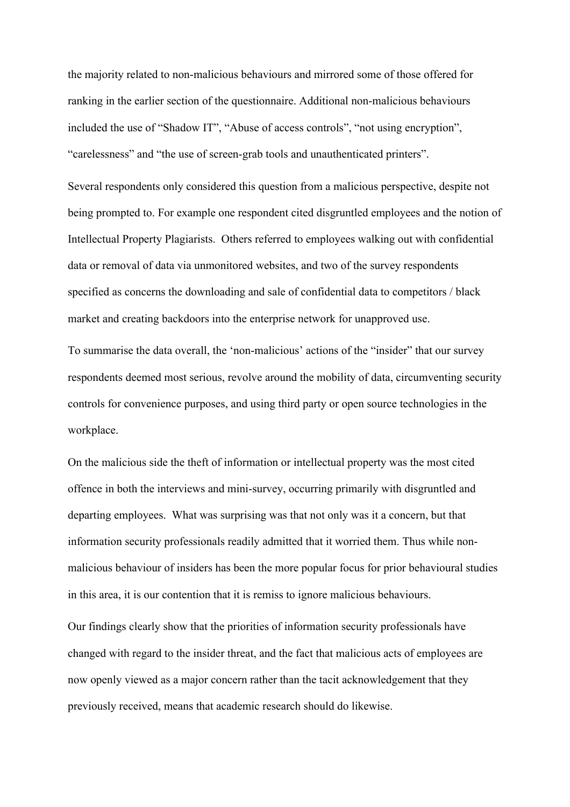the majority related to non-malicious behaviours and mirrored some of those offered for ranking in the earlier section of the questionnaire. Additional non-malicious behaviours included the use of "Shadow IT", "Abuse of access controls", "not using encryption", "carelessness" and "the use of screen-grab tools and unauthenticated printers".

Several respondents only considered this question from a malicious perspective, despite not being prompted to. For example one respondent cited disgruntled employees and the notion of Intellectual Property Plagiarists. Others referred to employees walking out with confidential data or removal of data via unmonitored websites, and two of the survey respondents specified as concerns the downloading and sale of confidential data to competitors / black market and creating backdoors into the enterprise network for unapproved use.

To summarise the data overall, the 'non-malicious' actions of the "insider" that our survey respondents deemed most serious, revolve around the mobility of data, circumventing security controls for convenience purposes, and using third party or open source technologies in the workplace.

On the malicious side the theft of information or intellectual property was the most cited offence in both the interviews and mini-survey, occurring primarily with disgruntled and departing employees. What was surprising was that not only was it a concern, but that information security professionals readily admitted that it worried them. Thus while nonmalicious behaviour of insiders has been the more popular focus for prior behavioural studies in this area, it is our contention that it is remiss to ignore malicious behaviours.

Our findings clearly show that the priorities of information security professionals have changed with regard to the insider threat, and the fact that malicious acts of employees are now openly viewed as a major concern rather than the tacit acknowledgement that they previously received, means that academic research should do likewise.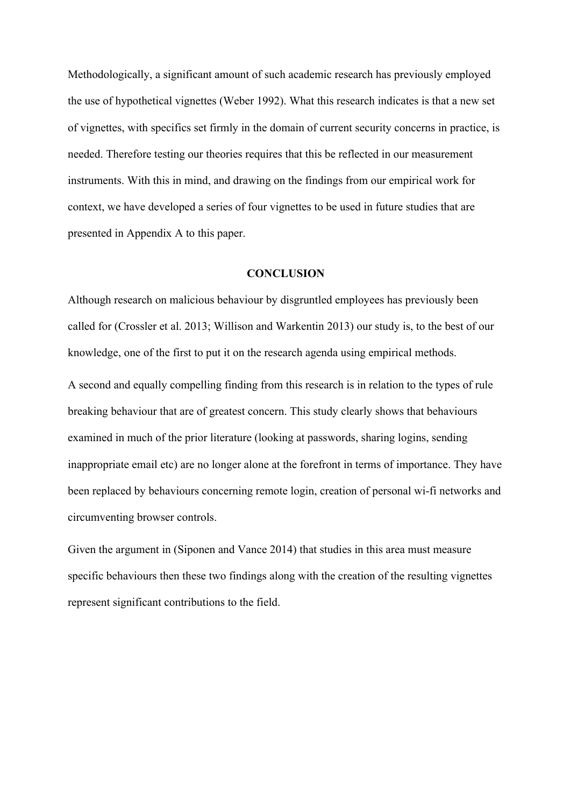Methodologically, a significant amount of such academic research has previously employed the use of hypothetical vignettes (Weber 1992). What this research indicates is that a new set of vignettes, with specifics set firmly in the domain of current security concerns in practice, is needed. Therefore testing our theories requires that this be reflected in our measurement instruments. With this in mind, and drawing on the findings from our empirical work for context, we have developed a series of four vignettes to be used in future studies that are presented in Appendix A to this paper.

## **CONCLUSION**

Although research on malicious behaviour by disgruntled employees has previously been called for (Crossler et al. 2013; Willison and Warkentin 2013) our study is, to the best of our knowledge, one of the first to put it on the research agenda using empirical methods.

A second and equally compelling finding from this research is in relation to the types of rule breaking behaviour that are of greatest concern. This study clearly shows that behaviours examined in much of the prior literature (looking at passwords, sharing logins, sending inappropriate email etc) are no longer alone at the forefront in terms of importance. They have been replaced by behaviours concerning remote login, creation of personal wi-fi networks and circumventing browser controls.

Given the argument in (Siponen and Vance 2014) that studies in this area must measure specific behaviours then these two findings along with the creation of the resulting vignettes represent significant contributions to the field.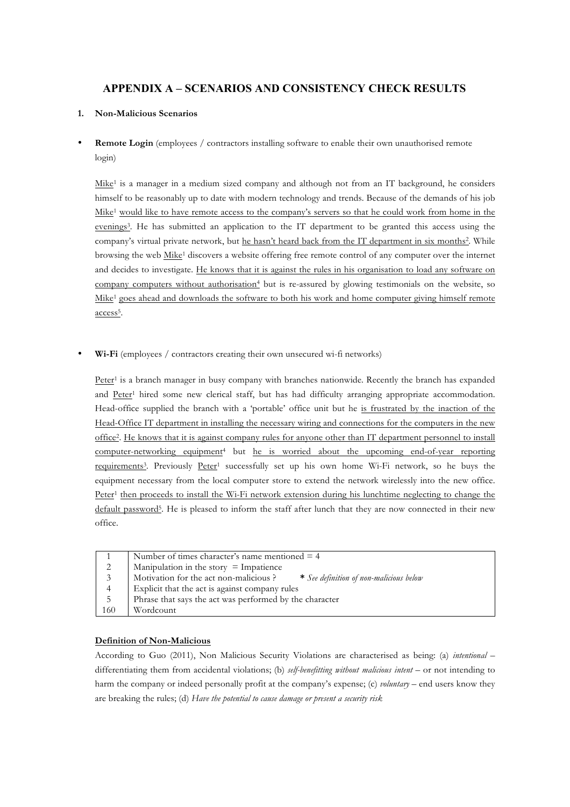# **APPENDIX A – SCENARIOS AND CONSISTENCY CHECK RESULTS**

### **1. Non-Malicious Scenarios**

**Remote Login** (employees / contractors installing software to enable their own unauthorised remote login)

Mike<sup>1</sup> is a manager in a medium sized company and although not from an IT background, he considers himself to be reasonably up to date with modern technology and trends. Because of the demands of his job Mike1 would like to have remote access to the company's servers so that he could work from home in the evenings3. He has submitted an application to the IT department to be granted this access using the company's virtual private network, but he hasn't heard back from the IT department in six months<sup>2</sup>. While browsing the web Mike<sup>1</sup> discovers a website offering free remote control of any computer over the internet and decides to investigate. He knows that it is against the rules in his organisation to load any software on company computers without authorisation<sup>4</sup> but is re-assured by glowing testimonials on the website, so Mike1 goes ahead and downloads the software to both his work and home computer giving himself remote access<sup>5</sup>.

• **Wi-Fi** (employees / contractors creating their own unsecured wi-fi networks)

Peter<sup>1</sup> is a branch manager in busy company with branches nationwide. Recently the branch has expanded and Peter1 hired some new clerical staff, but has had difficulty arranging appropriate accommodation. Head-office supplied the branch with a 'portable' office unit but he is frustrated by the inaction of the Head-Office IT department in installing the necessary wiring and connections for the computers in the new office2. He knows that it is against company rules for anyone other than IT department personnel to install computer-networking equipment4 but he is worried about the upcoming end-of-year reporting requirements<sup>3</sup>. Previously Peter<sup>1</sup> successfully set up his own home Wi-Fi network, so he buys the equipment necessary from the local computer store to extend the network wirelessly into the new office. Peter<sup>1</sup> then proceeds to install the Wi-Fi network extension during his lunchtime neglecting to change the default password5. He is pleased to inform the staff after lunch that they are now connected in their new office.

|     | Number of times character's name mentioned $=$ 4                                 |
|-----|----------------------------------------------------------------------------------|
| 2   | Manipulation in the story $=$ Impatience                                         |
| 3   | Motivation for the act non-malicious?<br>* See definition of non-malicious below |
| 4   | Explicit that the act is against company rules                                   |
| 5   | Phrase that says the act was performed by the character                          |
| 160 | Wordcount                                                                        |

### **Definition of Non-Malicious**

According to Guo (2011), Non Malicious Security Violations are characterised as being: (a) *intentional* – differentiating them from accidental violations; (b) *self-benefitting without malicious intent* – or not intending to harm the company or indeed personally profit at the company's expense; (c) *voluntary* – end users know they are breaking the rules; (d) *Have the potential to cause damage or present a security risk*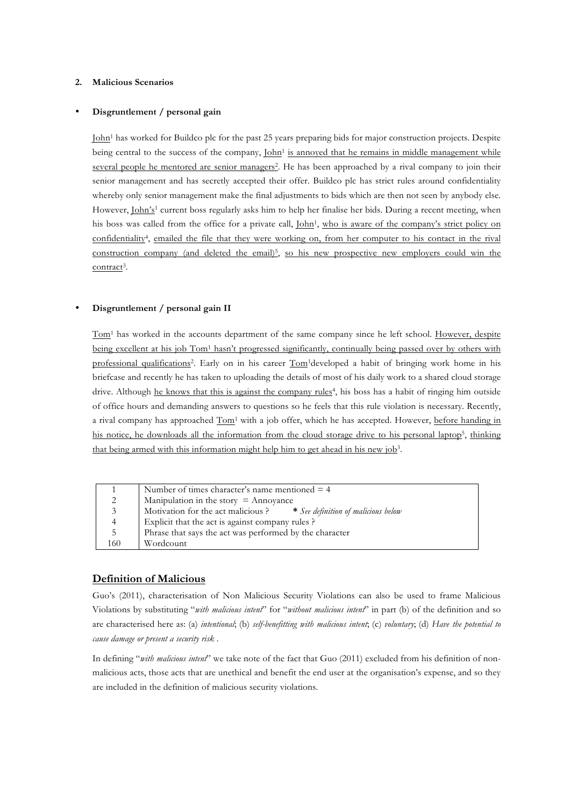### **2. Malicious Scenarios**

#### • **Disgruntlement / personal gain**

John1 has worked for Buildco plc for the past 25 years preparing bids for major construction projects. Despite being central to the success of the company, John<sup>1</sup> is annoyed that he remains in middle management while several people he mentored are senior managers<sup>2</sup>. He has been approached by a rival company to join their senior management and has secretly accepted their offer. Buildco plc has strict rules around confidentiality whereby only senior management make the final adjustments to bids which are then not seen by anybody else. However, John's<sup>1</sup> current boss regularly asks him to help her finalise her bids. During a recent meeting, when his boss was called from the office for a private call, John<sup>1</sup>, who is aware of the company's strict policy on confidentiality4, emailed the file that they were working on, from her computer to his contact in the rival construction company (and deleted the email)<sup>5</sup>, so his new prospective new employers could win the contract<sup>3</sup>.

#### • **Disgruntlement / personal gain II**

Tom1 has worked in the accounts department of the same company since he left school. However, despite being excellent at his job Tom1 hasn't progressed significantly, continually being passed over by others with professional qualifications2. Early on in his career Tom1developed a habit of bringing work home in his briefcase and recently he has taken to uploading the details of most of his daily work to a shared cloud storage drive. Although he knows that this is against the company rules<sup>4</sup>, his boss has a habit of ringing him outside of office hours and demanding answers to questions so he feels that this rule violation is necessary. Recently, a rival company has approached Tom<sup>1</sup> with a job offer, which he has accepted. However, before handing in his notice, he downloads all the information from the cloud storage drive to his personal laptop<sup>5</sup>, thinking that being armed with this information might help him to get ahead in his new job3.

|                | Number of times character's name mentioned $=$ 4                       |
|----------------|------------------------------------------------------------------------|
| 2              | Manipulation in the story $=$ Annoyance                                |
| 3 <sup>7</sup> | Motivation for the act malicious ? * See definition of malicious below |
| 4              | Explicit that the act is against company rules?                        |
| 5              | Phrase that says the act was performed by the character                |
| 160            | Wordcount                                                              |

## **Definition of Malicious**

Guo's (2011), characterisation of Non Malicious Security Violations can also be used to frame Malicious Violations by substituting "*with malicious intent*" for "*without malicious intent*" in part (b) of the definition and so are characterised here as: (a) *intentional*; (b) *self-benefitting with malicious intent*; (c) *voluntary*; (d) *Have the potential to cause damage or present a security risk* .

In defining "*with malicious intent*" we take note of the fact that Guo (2011) excluded from his definition of nonmalicious acts, those acts that are unethical and benefit the end user at the organisation's expense, and so they are included in the definition of malicious security violations.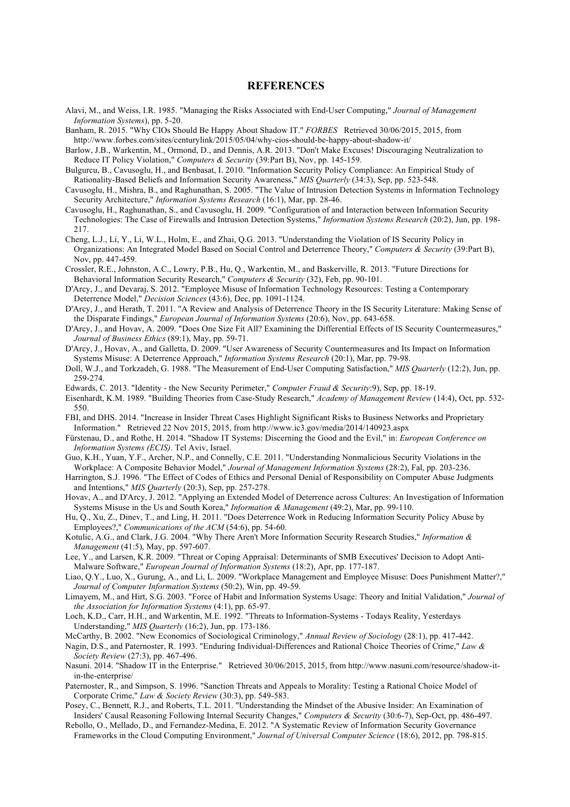#### **REFERENCES**

Alavi, M., and Weiss, I.R. 1985. "Managing the Risks Associated with End-User Computing," *Journal of Management Information Systems*), pp. 5-20.

Banham, R. 2015. "Why CIOs Should Be Happy About Shadow IT." *FORBES* Retrieved 30/06/2015, 2015, from http://www.forbes.com/sites/centurylink/2015/05/04/why-cios-should-be-happy-about-shadow-it/

- Barlow, J.B., Warkentin, M., Ormond, D., and Dennis, A.R. 2013. "Don't Make Excuses! Discouraging Neutralization to Reduce IT Policy Violation," *Computers & Security* (39:Part B), Nov, pp. 145-159.
- Bulgurcu, B., Cavusoglu, H., and Benbasat, I. 2010. "Information Security Policy Compliance: An Empirical Study of Rationality-Based Beliefs and Information Security Awareness," *MIS Quarterly* (34:3), Sep, pp. 523-548.
- Cavusoglu, H., Mishra, B., and Raghunathan, S. 2005. "The Value of Intrusion Detection Systems in Information Technology Security Architecture," *Information Systems Research* (16:1), Mar, pp. 28-46.
- Cavusoglu, H., Raghunathan, S., and Cavusoglu, H. 2009. "Configuration of and Interaction between Information Security Technologies: The Case of Firewalls and Intrusion Detection Systems," *Information Systems Research* (20:2), Jun, pp. 198- 217.
- Cheng, L.J., Li, Y., Li, W.L., Holm, E., and Zhai, Q.G. 2013. "Understanding the Violation of IS Security Policy in Organizations: An Integrated Model Based on Social Control and Deterrence Theory," *Computers & Security* (39:Part B), Nov, pp. 447-459.
- Crossler, R.E., Johnston, A.C., Lowry, P.B., Hu, Q., Warkentin, M., and Baskerville, R. 2013. "Future Directions for Behavioral Information Security Research," *Computers & Security* (32), Feb, pp. 90-101.
- D'Arcy, J., and Devaraj, S. 2012. "Employee Misuse of Information Technology Resources: Testing a Contemporary Deterrence Model," *Decision Sciences* (43:6), Dec, pp. 1091-1124.
- D'Arcy, J., and Herath, T. 2011. "A Review and Analysis of Deterrence Theory in the IS Security Literature: Making Sense of the Disparate Findings," *European Journal of Information Systems* (20:6), Nov, pp. 643-658.
- D'Arcy, J., and Hovav, A. 2009. "Does One Size Fit All? Examining the Differential Effects of IS Security Countermeasures," *Journal of Business Ethics* (89:1), May, pp. 59-71.
- D'Arcy, J., Hovav, A., and Galletta, D. 2009. "User Awareness of Security Countermeasures and Its Impact on Information Systems Misuse: A Deterrence Approach," *Information Systems Research* (20:1), Mar, pp. 79-98.
- Doll, W.J., and Torkzadeh, G. 1988. "The Measurement of End-User Computing Satisfaction," *MIS Quarterly* (12:2), Jun, pp. 259-274.
- Edwards, C. 2013. "Identity the New Security Perimeter," *Computer Fraud & Security*:9), Sep, pp. 18-19.
- Eisenhardt, K.M. 1989. "Building Theories from Case-Study Research," *Academy of Management Review* (14:4), Oct, pp. 532- 550.
- FBI, and DHS. 2014. "Increase in Insider Threat Cases Highlight Significant Risks to Business Networks and Proprietary Information." Retrieved 22 Nov 2015, 2015, from http://www.ic3.gov/media/2014/140923.aspx
- Fürstenau, D., and Rothe, H. 2014. "Shadow IT Systems: Discerning the Good and the Evil," in: *European Conference on Information Systems (ECIS)*. Tel Aviv, Israel.
- Guo, K.H., Yuan, Y.F., Archer, N.P., and Connelly, C.E. 2011. "Understanding Nonmalicious Security Violations in the Workplace: A Composite Behavior Model," *Journal of Management Information Systems* (28:2), Fal, pp. 203-236.
- Harrington, S.J. 1996. "The Effect of Codes of Ethics and Personal Denial of Responsibility on Computer Abuse Judgments and Intentions," *MIS Quarterly* (20:3), Sep, pp. 257-278.
- Hovav, A., and D'Arcy, J. 2012. "Applying an Extended Model of Deterrence across Cultures: An Investigation of Information Systems Misuse in the Us and South Korea," *Information & Management* (49:2), Mar, pp. 99-110.
- Hu, Q., Xu, Z., Dinev, T., and Ling, H. 2011. "Does Deterrence Work in Reducing Information Security Policy Abuse by Employees?," *Communications of the ACM* (54:6), pp. 54-60.
- Kotulic, A.G., and Clark, J.G. 2004. "Why There Aren't More Information Security Research Studies," *Information & Management* (41:5), May, pp. 597-607.
- Lee, Y., and Larsen, K.R. 2009. "Threat or Coping Appraisal: Determinants of SMB Executives' Decision to Adopt Anti-Malware Software," *European Journal of Information Systems* (18:2), Apr, pp. 177-187.
- Liao, Q.Y., Luo, X., Gurung, A., and Li, L. 2009. "Workplace Management and Employee Misuse: Does Punishment Matter?," *Journal of Computer Information Systems* (50:2), Win, pp. 49-59.
- Limayem, M., and Hirt, S.G. 2003. "Force of Habit and Information Systems Usage: Theory and Initial Validation," *Journal of the Association for Information Systems* (4:1), pp. 65-97.
- Loch, K.D., Carr, H.H., and Warkentin, M.E. 1992. "Threats to Information-Systems Todays Reality, Yesterdays Understanding," *MIS Quarterly* (16:2), Jun, pp. 173-186.
- McCarthy, B. 2002. "New Economics of Sociological Criminology," *Annual Review of Sociology* (28:1), pp. 417-442.
- Nagin, D.S., and Paternoster, R. 1993. "Enduring Individual-Differences and Rational Choice Theories of Crime," *Law & Society Review* (27:3), pp. 467-496.
- Nasuni. 2014. "Shadow IT in the Enterprise." Retrieved 30/06/2015, 2015, from http://www.nasuni.com/resource/shadow-itin-the-enterprise/
- Paternoster, R., and Simpson, S. 1996. "Sanction Threats and Appeals to Morality: Testing a Rational Choice Model of Corporate Crime," *Law & Society Review* (30:3), pp. 549-583.
- Posey, C., Bennett, R.J., and Roberts, T.L. 2011. "Understanding the Mindset of the Abusive Insider: An Examination of Insiders' Causal Reasoning Following Internal Security Changes," *Computers & Security* (30:6-7), Sep-Oct, pp. 486-497.
- Rebollo, O., Mellado, D., and Fernandez-Medina, E. 2012. "A Systematic Review of Information Security Governance Frameworks in the Cloud Computing Environment," *Journal of Universal Computer Science* (18:6), 2012, pp. 798-815.